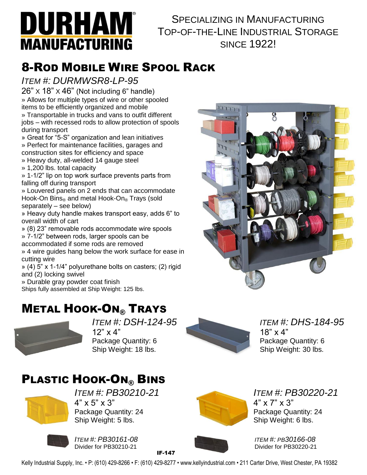

#### SPECIALIZING IN MANUFACTURING TOP-OF-THE-LINE INDUSTRIAL STORAGE SINCE 1922!

# 8-ROD MOBILE WIRE SPOOL RACK

#### *ITEM #: DURMWSR8-LP-95*

 $26" \times 18" \times 46"$  (Not including 6" handle) » Allows for multiple types of wire or other spooled items to be efficiently organized and mobile

» Transportable in trucks and vans to outfit different jobs – with recessed rods to allow protection of spools during transport

» Great for "5-S" organization and lean initiatives » Perfect for maintenance facilities, garages and construction sites for efficiency and space

» Heavy duty, all-welded 14 gauge steel

» 1,200 lbs. total capacity

» 1-1/2" lip on top work surface prevents parts from falling off during transport

» Louvered panels on 2 ends that can accommodate Hook-On Bins® and metal Hook-On® Trays (sold separately – see below)

» Heavy duty handle makes transport easy, adds 6" to overall width of cart

» (8) 23" removable rods accommodate wire spools » 7-1/2" between rods, larger spools can be

accommodated if some rods are removed

» 4 wire guides hang below the work surface for ease in cutting wire

» (4) 5" x 1-1/4" polyurethane bolts on casters; (2) rigid and (2) locking swivel

» Durable gray powder coat finish

Ships fully assembled at Ship Weight: 125 lbs.

### **METAL HOOK-ON® TRAYS**



*ITEM #: DSH-124-95 ITEM #: DHS-184-95*  $12" \times 4"$  18"  $\times 4"$ Package Quantity: 6 Package Quantity: 6 Ship Weight: 18 lbs. Ship Weight: 30 lbs.

## **PLASTIC HOOK-ON® BINS**



*ITEM #: PB30210-21 ITEM #: PB30220-21*  $4" \times 5" \times 3"$   $4" \times 7" \times 3"$ Package Quantity: 24 **Package Quantity: 24** Package Quantity: 24 Ship Weight: 5 lbs. Ship Weight: 6 lbs.



*ITEM #: PB30161-08 ITEM #: PB30166-08*

IF-147



Divider for PB30220-21

Kelly Industrial Supply, Inc. • P: (610) 429-8266 • F: (610) 429-8277 • www.kellyindustrial.com • 211 Carter Drive, West Chester, PA 19382